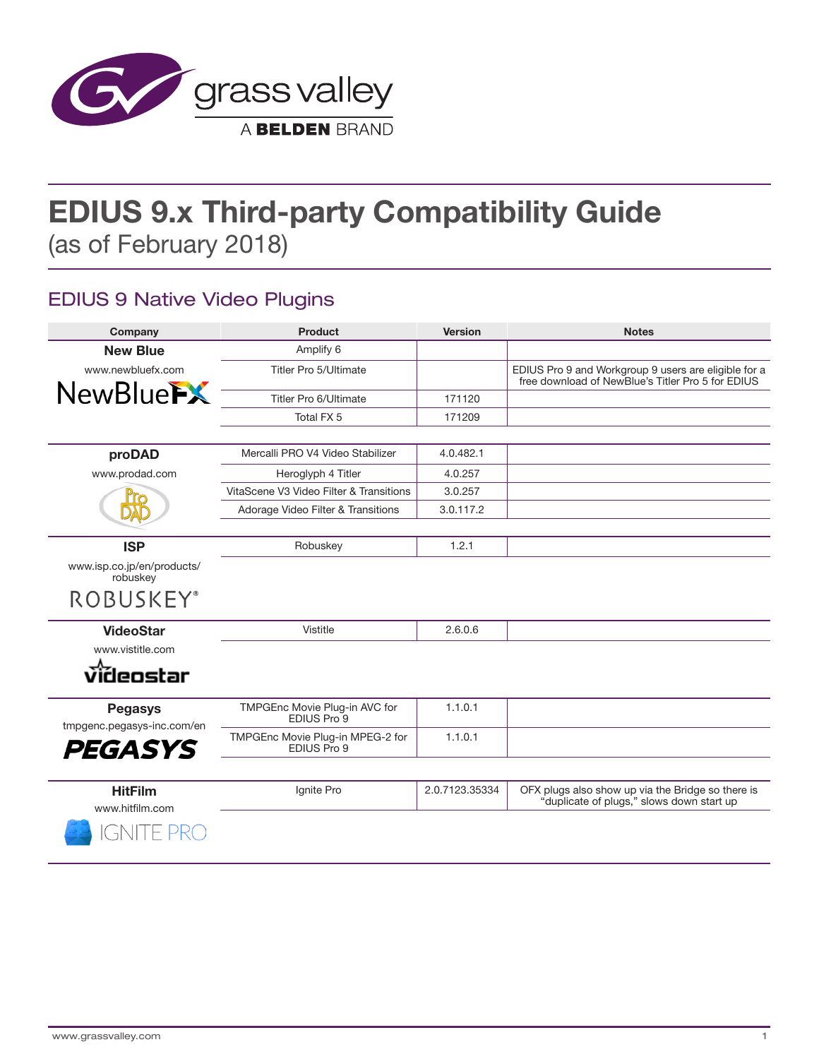

# **EDIUS 9.x Third-party Compatibility Guide** (as of February 2018)

### EDIUS 9 Native Video Plugins

| Company                                                        | <b>Product</b>                                  | <b>Version</b> | <b>Notes</b>                                                                                              |
|----------------------------------------------------------------|-------------------------------------------------|----------------|-----------------------------------------------------------------------------------------------------------|
| <b>New Blue</b>                                                | Amplify 6                                       |                |                                                                                                           |
| www.newbluefx.com                                              | Titler Pro 5/Ultimate                           |                | EDIUS Pro 9 and Workgroup 9 users are eligible for a<br>free download of NewBlue's Titler Pro 5 for EDIUS |
| <b>NewBlueFX</b>                                               | Titler Pro 6/Ultimate                           | 171120         |                                                                                                           |
|                                                                | Total FX 5                                      | 171209         |                                                                                                           |
|                                                                |                                                 |                |                                                                                                           |
| proDAD                                                         | Mercalli PRO V4 Video Stabilizer                | 4.0.482.1      |                                                                                                           |
| www.prodad.com                                                 | Heroglyph 4 Titler                              | 4.0.257        |                                                                                                           |
|                                                                | VitaScene V3 Video Filter & Transitions         | 3.0.257        |                                                                                                           |
|                                                                | Adorage Video Filter & Transitions              | 3.0.117.2      |                                                                                                           |
|                                                                |                                                 |                |                                                                                                           |
| <b>ISP</b>                                                     | Robuskey                                        | 1.2.1          |                                                                                                           |
| www.isp.co.jp/en/products/<br>robuskey                         |                                                 |                |                                                                                                           |
| <b>ROBUSKEY®</b>                                               |                                                 |                |                                                                                                           |
| <b>VideoStar</b>                                               | Vistitle                                        | 2.6.0.6        |                                                                                                           |
| www.vistitle.com                                               |                                                 |                |                                                                                                           |
| videostar                                                      |                                                 |                |                                                                                                           |
| <b>Pegasys</b><br>tmpgenc.pegasys-inc.com/en<br><b>PEGASYS</b> | TMPGEnc Movie Plug-in AVC for<br>EDIUS Pro 9    | 1.1.0.1        |                                                                                                           |
|                                                                | TMPGEnc Movie Plug-in MPEG-2 for<br>EDIUS Pro 9 | 1.1.0.1        |                                                                                                           |
|                                                                |                                                 |                |                                                                                                           |
| <b>HitFilm</b><br>www.hitfilm.com                              | Ignite Pro                                      | 2.0.7123.35334 | OFX plugs also show up via the Bridge so there is<br>"duplicate of plugs," slows down start up            |
| GNITE                                                          |                                                 |                |                                                                                                           |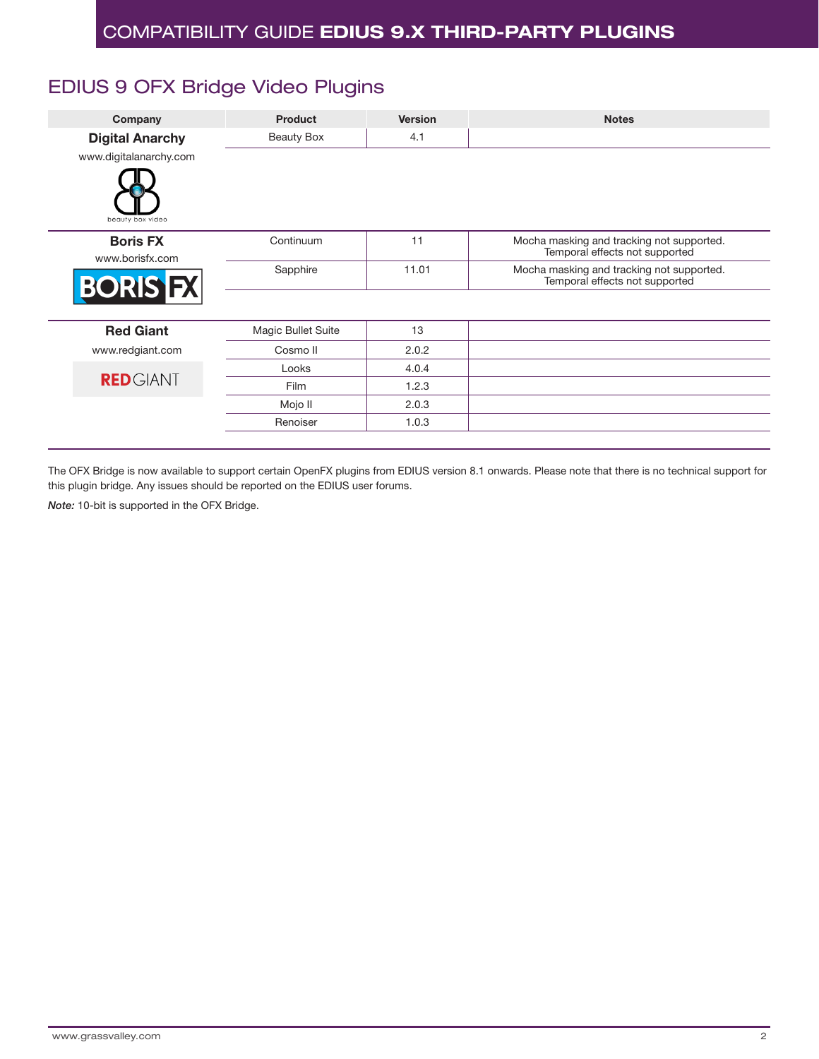## EDIUS 9 OFX Bridge Video Plugins

| Company                            | <b>Product</b>     | <b>Version</b> | <b>Notes</b>                                                                |  |
|------------------------------------|--------------------|----------------|-----------------------------------------------------------------------------|--|
| <b>Digital Anarchy</b>             | <b>Beauty Box</b>  | 4.1            |                                                                             |  |
| www.digitalanarchy.com             |                    |                |                                                                             |  |
| beauty box video                   |                    |                |                                                                             |  |
| <b>Boris FX</b><br>www.borisfx.com | Continuum          | 11             | Mocha masking and tracking not supported.<br>Temporal effects not supported |  |
| <b>BORIS FX</b>                    | Sapphire           | 11.01          | Mocha masking and tracking not supported.<br>Temporal effects not supported |  |
|                                    |                    |                |                                                                             |  |
| <b>Red Giant</b>                   | Magic Bullet Suite | 13             |                                                                             |  |
| www.redgiant.com                   | Cosmo II           | 2.0.2          |                                                                             |  |
|                                    | Looks              | 4.0.4          |                                                                             |  |
| <b>RED</b> GIANT                   | Film               | 1.2.3          |                                                                             |  |
|                                    | Mojo II            | 2.0.3          |                                                                             |  |
|                                    | Renoiser           | 1.0.3          |                                                                             |  |

The OFX Bridge is now available to support certain OpenFX plugins from EDIUS version 8.1 onwards. Please note that there is no technical support for this plugin bridge. Any issues should be reported on the EDIUS user forums.

*Note:* 10-bit is supported in the OFX Bridge.